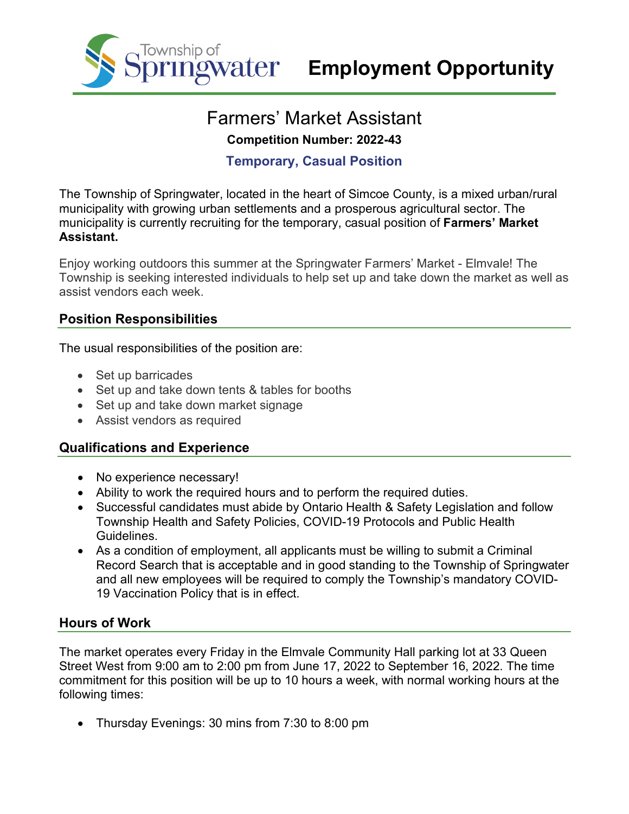

# Farmers' Market Assistant **Competition Number: 2022-43**

## **Temporary, Casual Position**

The Township of Springwater, located in the heart of Simcoe County, is a mixed urban/rural municipality with growing urban settlements and a prosperous agricultural sector. The municipality is currently recruiting for the temporary, casual position of **Farmers' Market Assistant.**

Enjoy working outdoors this summer at the Springwater Farmers' Market - Elmvale! The Township is seeking interested individuals to help set up and take down the market as well as assist vendors each week.

#### **Position Responsibilities**

The usual responsibilities of the position are:

- Set up barricades
- Set up and take down tents & tables for booths
- Set up and take down market signage
- Assist vendors as required

## **Qualifications and Experience**

- No experience necessary!
- Ability to work the required hours and to perform the required duties.
- Successful candidates must abide by Ontario Health & Safety Legislation and follow Township Health and Safety Policies, COVID-19 Protocols and Public Health Guidelines.
- As a condition of employment, all applicants must be willing to submit a Criminal Record Search that is acceptable and in good standing to the Township of Springwater and all new employees will be required to comply the Township's mandatory COVID-19 Vaccination Policy that is in effect.

## **Hours of Work**

The market operates every Friday in the Elmvale Community Hall parking lot at 33 Queen Street West from 9:00 am to 2:00 pm from June 17, 2022 to September 16, 2022. The time commitment for this position will be up to 10 hours a week, with normal working hours at the following times:

• Thursday Evenings: 30 mins from 7:30 to 8:00 pm